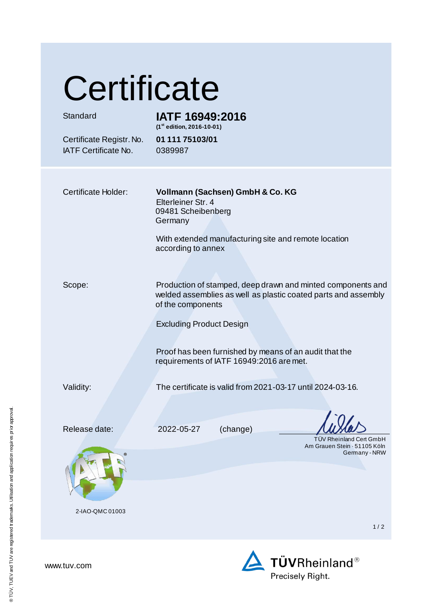| Certificate                                             |                                                                                                                                                    |
|---------------------------------------------------------|----------------------------------------------------------------------------------------------------------------------------------------------------|
| Standard                                                | IATF 16949:2016<br>(1st edition, 2016-10-01)                                                                                                       |
| Certificate Registr. No.<br><b>IATF Certificate No.</b> | 01 111 75103/01<br>0389987                                                                                                                         |
| <b>Certificate Holder:</b>                              | Vollmann (Sachsen) GmbH & Co. KG<br>Elterleiner Str. 4<br>09481 Scheibenberg<br>Germany<br>With extended manufacturing site and remote location    |
|                                                         | according to annex                                                                                                                                 |
| Scope:                                                  | Production of stamped, deep drawn and minted components and<br>welded assemblies as well as plastic coated parts and assembly<br>of the components |
|                                                         | <b>Excluding Product Design</b><br>Proof has been furnished by means of an audit that the<br>requirements of IATF 16949:2016 are met.              |
| Validity:                                               | The certificate is valid from 2021-03-17 until 2024-03-16.                                                                                         |
| Release date:                                           | (change)<br>2022-05-27<br><b>TUV Rheinland Cert GmbH</b>                                                                                           |
|                                                         | Am Grauen Stein - 51105 Köln<br>Germany - NRW                                                                                                      |
| 2-IAO-QMC 01003                                         | 1/2                                                                                                                                                |



www.tuv.com